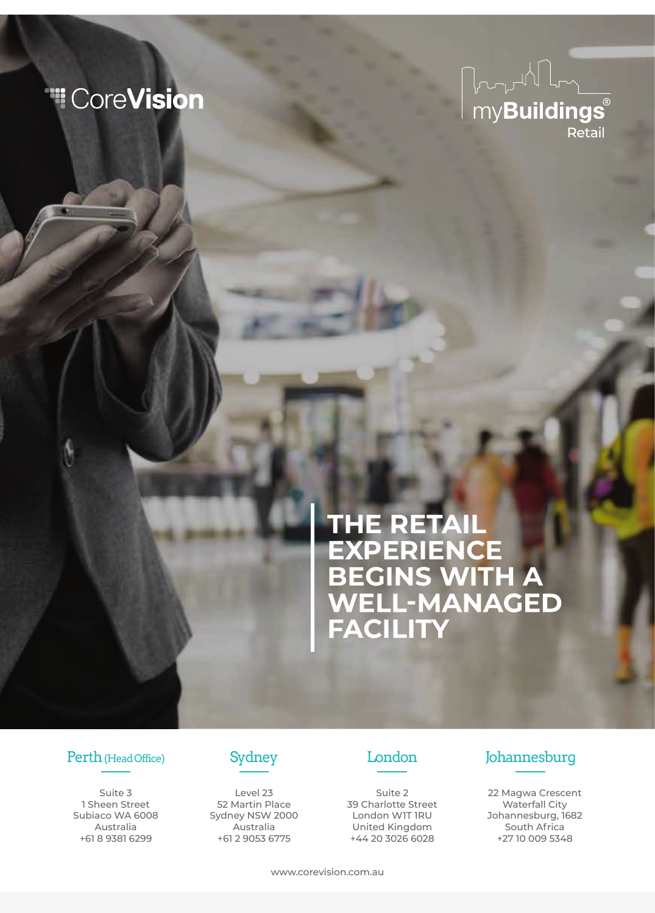## "CoreVision



# **THE RETAIL EXPERIENCE BEGINS WITH A FACILITY**

Suite 3 1 Sheen Street Subiaco WA 6008 Australia +61 8 9381 6299



Level 23 52 Martin Place Sydney NSW 2000 Australia +61 2 9053 6775



Suite 2 39 Charlotte Street London W1T 1RU United Kingdom +44 20 3026 6028

## Perth (Head Office) Sydney London Johannesburg

22 Magwa Crescent Waterfall City Johannesburg, 1682 South Africa +27 10 009 5348

www.corevision.com.au